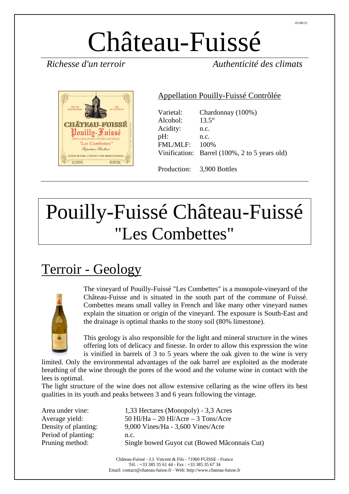# Château-Fuissé

*Richesse d'un terroir Authenticité des climats* 



#### Appellation Pouilly-Fuissé Contrôlée

| Varietal:<br>Alcohol:<br>Acidity:<br>pH:<br>FMI/MI.F: | Chardonnay (100%)<br>$13.5^\circ$<br>n.c.<br>n.c.<br>100\%<br>Vinification: Barrel (100%, 2 to 5 years old) |
|-------------------------------------------------------|-------------------------------------------------------------------------------------------------------------|
|                                                       | Production: 3,900 Bottles                                                                                   |

## Pouilly-Fuissé Château-Fuissé "Les Combettes"

### Terroir - Geology



The vineyard of Pouilly-Fuissé "Les Combettes" is a monopole-vineyard of the Château-Fuisse and is situated in the south part of the commune of Fuissé. Combettes means small valley in French and like many other vineyard names explain the situation or origin of the vineyard. The exposure is South-East and the drainage is optimal thanks to the stony soil (80% limestone).

This geology is also responsible for the light and mineral structure in the wines offering lots of delicacy and finesse. In order to allow this expression the wine is vinified in barrels of 3 to 5 years where the oak given to the wine is very

limited. Only the environmental advantages of the oak barrel are exploited as the moderate breathing of the wine through the pores of the wood and the volume wine in contact with the lees is optimal.

The light structure of the wine does not allow extensive cellaring as the wine offers its best qualities in its youth and peaks between 3 and 6 years following the vintage.

Period of planting: n.c.

Area under vine: 1,33 Hectares (Monopoly) - 3,3 Acres Average yield: 50 Hl/Ha – 20 Hl/Acre – 3 Tons/Acre Density of planting: 9,000 Vines/Ha - 3,600 Vines/Acre Pruning method: Single bowed Guyot cut (Bowed Mâconnais Cut)